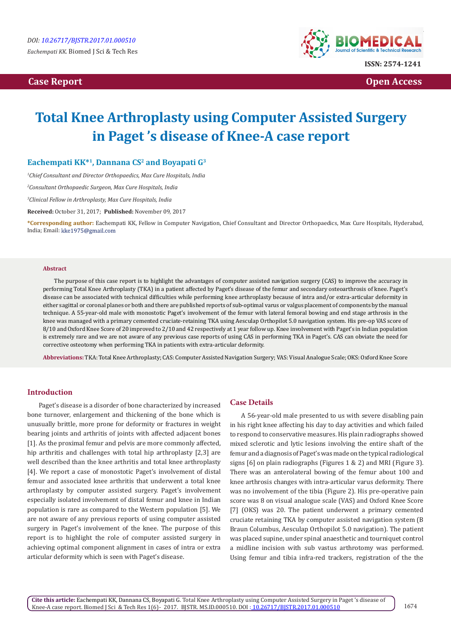**Case Report Case Report** Open Access **Case Report** Open Access **Open Access** 



# **Total Knee Arthroplasty using Computer Assisted Surgery in Paget 's disease of Knee-A case report**

## Eachempati KK<sup>\*1</sup>, Dannana CS<sup>2</sup> and Boyapati G<sup>3</sup>

*1 Chief Consultant and Director Orthopaedics, Max Cure Hospitals, India*

*2 Consultant Orthopaedic Surgeon, Max Cure Hospitals, India*

*3 Clinical Fellow in Arthroplasty, Max Cure Hospitals, India*

**Received:** October 31, 2017; **Published:** November 09, 2017

**\*Corresponding author:** Eachempati KK, Fellow in Computer Navigation, Chief Consultant and Director Orthopaedics, Max Cure Hospitals, Hyderabad, India; Email: kke1975@gmail.com

#### **Abstract**

The purpose of this case report is to highlight the advantages of computer assisted navigation surgery (CAS) to improve the accuracy in performing Total Knee Arthroplasty (TKA) in a patient affected by Paget's disease of the femur and secondary osteoarthrosis of knee. Paget's disease can be associated with technical difficulties while performing knee arthroplasty because of intra and/or extra-articular deformity in either sagittal or coronal planes or both and there are published reports of sub-optimal varus or valgus placement of components by the manual technique. A 55-year-old male with monostotic Paget's involvement of the femur with lateral femoral bowing and end stage arthrosis in the knee was managed with a primary cemented cruciate-retaining TKA using Aesculap Orthopilot 5.0 navigation system. His pre-op VAS score of 8/10 and Oxford Knee Score of 20 improved to 2/10 and 42 respectively at 1 year follow up. Knee involvement with Paget's in Indian population is extremely rare and we are not aware of any previous case reports of using CAS in performing TKA in Paget's. CAS can obviate the need for corrective osteotomy when performing TKA in patients with extra-articular deformity.

**Abbreviations:** TKA: Total Knee Arthroplasty; CAS: Computer Assisted Navigation Surgery; VAS: Visual Analogue Scale; OKS: Oxford Knee Score

## **Introduction**

Paget's disease is a disorder of bone characterized by increased bone turnover, enlargement and thickening of the bone which is unusually brittle, more prone for deformity or fractures in weight bearing joints and arthritis of joints with affected adjacent bones [1]. As the proximal femur and pelvis are more commonly affected, hip arthritis and challenges with total hip arthroplasty [2,3] are well described than the knee arthritis and total knee arthroplasty [4]. We report a case of monostotic Paget's involvement of distal femur and associated knee arthritis that underwent a total knee arthroplasty by computer assisted surgery. Paget's involvement especially isolated involvement of distal femur and knee in Indian population is rare as compared to the Western population [5]. We are not aware of any previous reports of using computer assisted surgery in Paget's involvement of the knee. The purpose of this report is to highlight the role of computer assisted surgery in achieving optimal component alignment in cases of intra or extra articular deformity which is seen with Paget's disease.

### **Case Details**

A 56-year-old male presented to us with severe disabling pain in his right knee affecting his day to day activities and which failed to respond to conservative measures. His plain radiographs showed mixed sclerotic and lytic lesions involving the entire shaft of the femur and a diagnosis of Paget's was made on the typical radiological signs [6] on plain radiographs (Figures 1 & 2) and MRI (Figure 3). There was an anterolateral bowing of the femur about 100 and knee arthrosis changes with intra-articular varus deformity. There was no involvement of the tibia (Figure 2). His pre-operative pain score was 8 on visual analogue scale (VAS) and Oxford Knee Score [7] (OKS) was 20. The patient underwent a primary cemented cruciate retaining TKA by computer assisted navigation system (B Braun Columbus, Aesculap Orthopilot 5.0 navigation). The patient was placed supine, under spinal anaesthetic and tourniquet control a midline incision with sub vastus arthrotomy was performed. Using femur and tibia infra-red trackers, registration of the the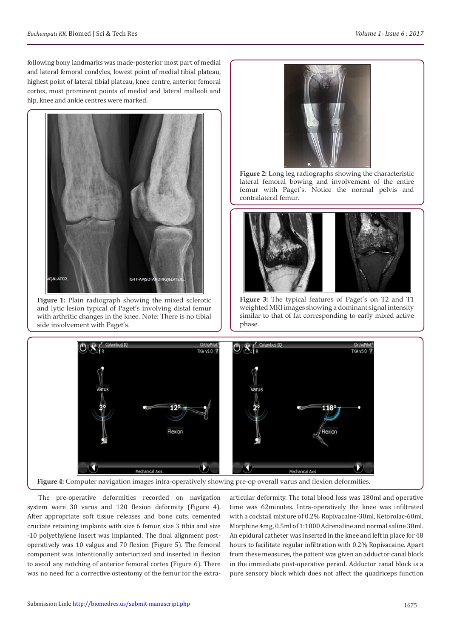following bony landmarks was made-posterior most part of medial and lateral femoral condyles, lowest point of medial tibial plateau, highest point of lateral tibial plateau, knee centre, anterior femoral cortex, most prominent points of medial and lateral malleoli and hip, knee and ankle centres were marked.



**Figure 1:** Plain radiograph showing the mixed sclerotic and lytic lesion typical of Paget's involving distal femur with arthritic changes in the knee. Note: There is no tibial side involvement with Paget's.



**Figure 2:** Long leg radiographs showing the characteristic lateral femoral bowing and involvement of the entire femur with Paget's. Notice the normal pelvis and contralateral femur.



**Figure 3:** The typical features of Paget's on T2 and T1 weighted MRI images showing a dominant signal intensity similar to that of fat corresponding to early mixed active phase.



The pre-operative deformities recorded on navigation system were 30 varus and 120 flexion deformity (Figure 4). After appropriate soft tissue releases and bone cuts, cemented cruciate retaining implants with size 6 femur, size 3 tibia and size -10 polyethylene insert was implanted. The final alignment postoperatively was 10 valgus and 70 flexion (Figure 5). The femoral component was intentionally anteriorized and inserted in flexion to avoid any notching of anterior femoral cortex (Figure 6). There was no need for a corrective osteotomy of the femur for the extraarticular deformity. The total blood loss was 180ml and operative time was 62minutes. Intra-operatively the knee was infiltrated with a cocktail mixture of 0.2% Ropivacaine-30ml, Ketorolac-60ml, Morphine 4mg, 0.5ml of 1:1000 Adrenaline and normal saline 30ml. An epidural catheter was inserted in the knee and left in place for 48 hours to facilitate regular infiltration with 0.2% Ropivacaine. Apart from these measures, the patient was given an adductor canal block in the immediate post-operative period. Adductor canal block is a pure sensory block which does not affect the quadriceps function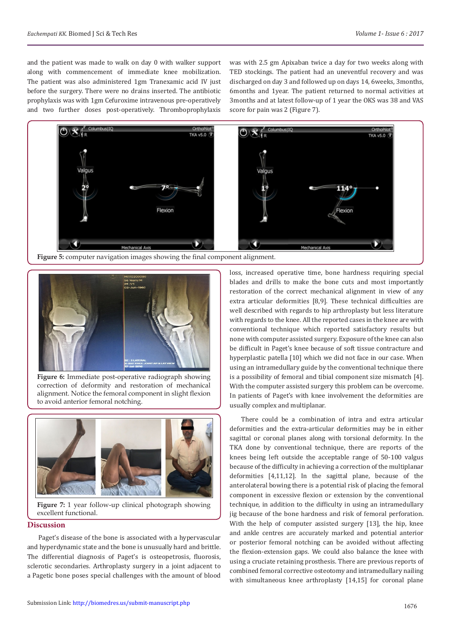and the patient was made to walk on day 0 with walker support along with commencement of immediate knee mobilization. The patient was also administered 1gm Tranexamic acid IV just before the surgery. There were no drains inserted. The antibiotic prophylaxis was with 1gm Cefuroxime intravenous pre-operatively and two further doses post-operatively. Thromboprophylaxis was with 2.5 gm Apixaban twice a day for two weeks along with TED stockings. The patient had an uneventful recovery and was discharged on day 3 and followed up on days 14, 6weeks, 3months, 6months and 1year. The patient returned to normal activities at 3months and at latest follow-up of 1 year the OKS was 38 and VAS score for pain was 2 (Figure 7).



**Figure 5:** computer navigation images showing the final component alignment.



**Figure 6:** Immediate post-operative radiograph showing correction of deformity and restoration of mechanical alignment. Notice the femoral component in slight flexion to avoid anterior femoral notching.



**Figure 7:** 1 year follow-up clinical photograph showing excellent functional.

## **Discussion**

Paget's disease of the bone is associated with a hypervascular and hyperdynamic state and the bone is unusually hard and brittle. The differential diagnosis of Paget's is osteopetrosis, fluorosis, sclerotic secondaries. Arthroplasty surgery in a joint adjacent to a Pagetic bone poses special challenges with the amount of blood

loss, increased operative time, bone hardness requiring special blades and drills to make the bone cuts and most importantly restoration of the correct mechanical alignment in view of any extra articular deformities [8,9]. These technical difficulties are well described with regards to hip arthroplasty but less literature with regards to the knee. All the reported cases in the knee are with conventional technique which reported satisfactory results but none with computer assisted surgery. Exposure of the knee can also be difficult in Paget's knee because of soft tissue contracture and hyperplastic patella [10] which we did not face in our case. When using an intramedullary guide by the conventional technique there is a possibility of femoral and tibial component size mismatch [4]. With the computer assisted surgery this problem can be overcome. In patients of Paget's with knee involvement the deformities are usually complex and multiplanar.

There could be a combination of intra and extra articular deformities and the extra-articular deformities may be in either sagittal or coronal planes along with torsional deformity. In the TKA done by conventional technique, there are reports of the knees being left outside the acceptable range of 50-100 valgus because of the difficulty in achieving a correction of the multiplanar deformities [4,11,12]. In the sagittal plane, because of the anterolateral bowing there is a potential risk of placing the femoral component in excessive flexion or extension by the conventional technique, in addition to the difficulty in using an intramedullary jig because of the bone hardness and risk of femoral perforation. With the help of computer assisted surgery [13], the hip, knee and ankle centres are accurately marked and potential anterior or posterior femoral notching can be avoided without affecting the flexion-extension gaps. We could also balance the knee with using a cruciate retaining prosthesis. There are previous reports of combined femoral corrective osteotomy and intramedullary nailing with simultaneous knee arthroplasty [14,15] for coronal plane